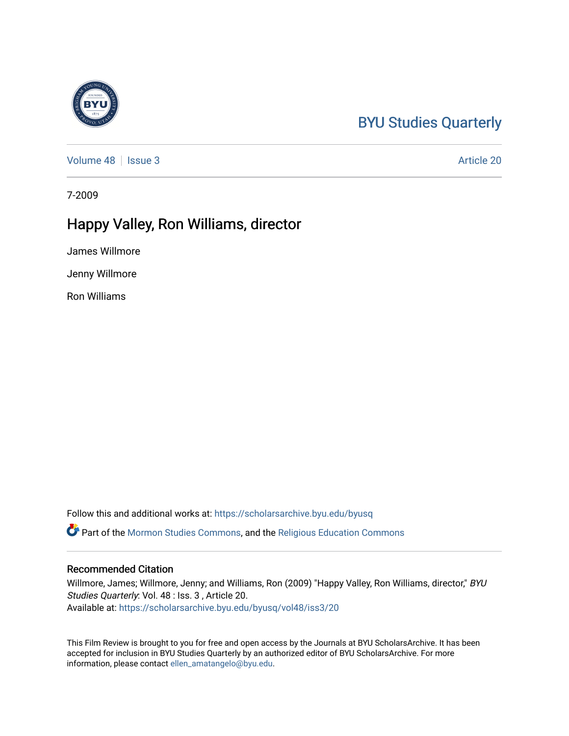## [BYU Studies Quarterly](https://scholarsarchive.byu.edu/byusq)

[Volume 48](https://scholarsarchive.byu.edu/byusq/vol48) | [Issue 3](https://scholarsarchive.byu.edu/byusq/vol48/iss3) Article 20

7-2009

## Happy Valley, Ron Williams, director

James Willmore

Jenny Willmore

Ron Williams

Follow this and additional works at: [https://scholarsarchive.byu.edu/byusq](https://scholarsarchive.byu.edu/byusq?utm_source=scholarsarchive.byu.edu%2Fbyusq%2Fvol48%2Fiss3%2F20&utm_medium=PDF&utm_campaign=PDFCoverPages) 

Part of the [Mormon Studies Commons](http://network.bepress.com/hgg/discipline/1360?utm_source=scholarsarchive.byu.edu%2Fbyusq%2Fvol48%2Fiss3%2F20&utm_medium=PDF&utm_campaign=PDFCoverPages), and the [Religious Education Commons](http://network.bepress.com/hgg/discipline/1414?utm_source=scholarsarchive.byu.edu%2Fbyusq%2Fvol48%2Fiss3%2F20&utm_medium=PDF&utm_campaign=PDFCoverPages) 

## Recommended Citation

Willmore, James; Willmore, Jenny; and Williams, Ron (2009) "Happy Valley, Ron Williams, director," BYU Studies Quarterly: Vol. 48 : Iss. 3 , Article 20. Available at: [https://scholarsarchive.byu.edu/byusq/vol48/iss3/20](https://scholarsarchive.byu.edu/byusq/vol48/iss3/20?utm_source=scholarsarchive.byu.edu%2Fbyusq%2Fvol48%2Fiss3%2F20&utm_medium=PDF&utm_campaign=PDFCoverPages) 

This Film Review is brought to you for free and open access by the Journals at BYU ScholarsArchive. It has been accepted for inclusion in BYU Studies Quarterly by an authorized editor of BYU ScholarsArchive. For more information, please contact [ellen\\_amatangelo@byu.edu.](mailto:ellen_amatangelo@byu.edu)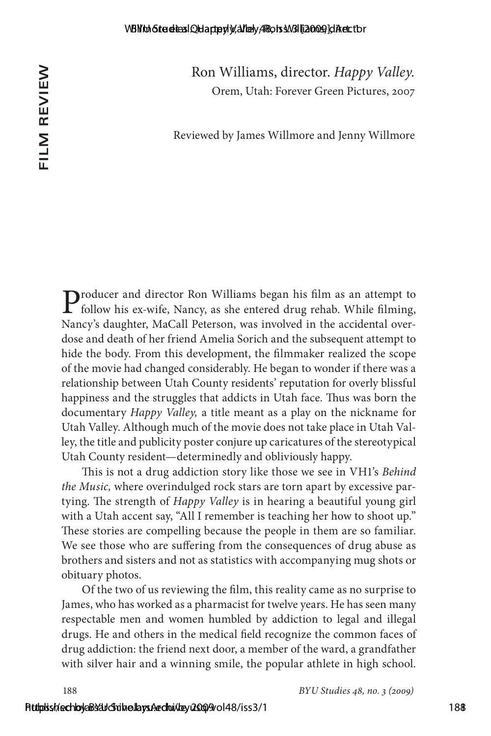Ron Williams, director. *Happy Valley.* Orem, Utah: Forever Green Pictures, 2007

Reviewed by James Willmore and Jenny Willmore

**P**roducer and director Ron Williams began his film as an attempt to follow his ex-wife, Nancy, as she entered drug rehab. While filming, Nancy's daughter, MaCall Peterson, was involved in the accidental overdose and death of her friend Amelia Sorich and the subsequent attempt to hide the body. From this development, the filmmaker realized the scope of the movie had changed considerably. He began to wonder if there was a relationship between Utah County residents' reputation for overly blissful happiness and the struggles that addicts in Utah face. Thus was born the documentary *Happy Valley,* a title meant as a play on the nickname for Utah Valley. Although much of the movie does not take place in Utah Valley, the title and publicity poster conjure up caricatures of the stereotypical Utah County resident—determinedly and obliviously happy. **CEP (Fig. 2011)**<br> **Solution** (Fig. 1993)<br> **Solution** (Fig. 1993)<br> **Solution** (Fig. 1993)<br> **Solution** (Fig. 1993)<br> **Solution** (Fig. 1993)<br> **Explores and director Ron Williams hegan his film as an attempt to<br>**  $\sum_{i=1}^{n}$ 

This is not a drug addiction story like those we see in VH1's *Behind the Music,* where overindulged rock stars are torn apart by excessive partying. The strength of *Happy Valley* is in hearing a beautiful young girl with a Utah accent say, "All I remember is teaching her how to shoot up." These stories are compelling because the people in them are so familiar. We see those who are suffering from the consequences of drug abuse as brothers and sisters and not as statistics with accompanying mug shots or obituary photos.

Of the two of us reviewing the film, this reality came as no surprise to James, who has worked as a pharmacist for twelve years. He has seen many respectable men and women humbled by addiction to legal and illegal drugs. He and others in the medical field recognize the common faces of drug addiction: the friend next door, a member of the ward, a grandfather with silver hair and a winning smile, the popular athlete in high school.

188 *BYU Studies 48, no. 3 (29)*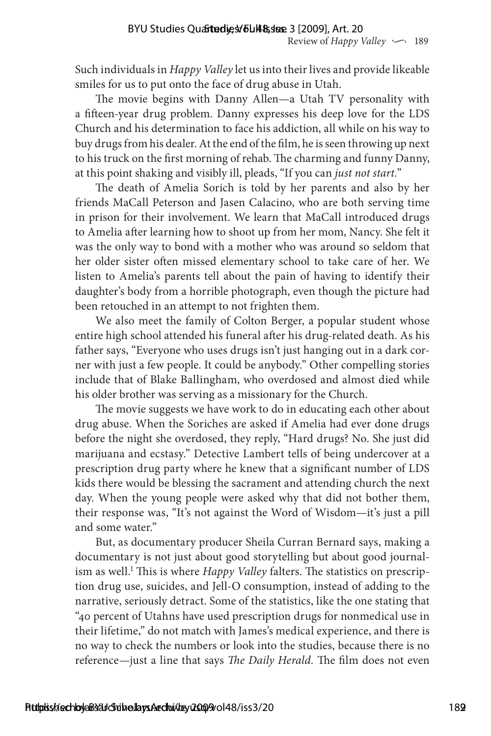Such individuals in *Happy Valley* let us into their lives and provide likeable smiles for us to put onto the face of drug abuse in Utah.

The movie begins with Danny Allen—a Utah TV personality with a fifteen-year drug problem. Danny expresses his deep love for the LDS Church and his determination to face his addiction, all while on his way to buy drugs from his dealer. At the end of the film, he is seen throwing up next to his truck on the first morning of rehab. The charming and funny Danny, at this point shaking and visibly ill, pleads, "If you can *just not start.*"

The death of Amelia Sorich is told by her parents and also by her friends MaCall Peterson and Jasen Calacino, who are both serving time in prison for their involvement. We learn that MaCall introduced drugs to Amelia after learning how to shoot up from her mom, Nancy. She felt it was the only way to bond with a mother who was around so seldom that her older sister often missed elementary school to take care of her. We listen to Amelia's parents tell about the pain of having to identify their daughter's body from a horrible photograph, even though the picture had been retouched in an attempt to not frighten them. BYU Studies Quartedly, Seliar leaves and provide seliar leaves and provide in the minished by smaller than the minished by the studies of the minished smaller for the minished are the provide in the minished smaller of th

We also meet the family of Colton Berger, a popular student whose entire high school attended his funeral after his drug-related death. As his father says, "Everyone who uses drugs isn't just hanging out in a dark corner with just a few people. It could be anybody." Other compelling stories include that of Blake Ballingham, who overdosed and almost died while his older brother was serving as a missionary for the Church.

The movie suggests we have work to do in educating each other about drug abuse. When the Soriches are asked if Amelia had ever done drugs before the night she overdosed, they reply, "Hard drugs? No. She just did marijuana and ecstasy." Detective Lambert tells of being undercover at a prescription drug party where he knew that a significant number of LDS kids there would be blessing the sacrament and attending church the next day. When the young people were asked why that did not bother them, their response was, "It's not against the Word of Wisdom—it's just a pill and some water."

But, as documentary producer Sheila Curran Bernard says, making a documentary is not just about good storytelling but about good journalism as well.<sup>1</sup> This is where *Happy Valley* falters. The statistics on prescription drug use, suicides, and Jell-O consumption, instead of adding to the narrative, seriously detract. Some of the statistics, like the one stating that "40 percent of Utahns have used prescription drugs for nonmedical use in their lifetime," do not match with James's medical experience, and there is no way to check the numbers or look into the studies, because there is no reference—just a line that says *The Daily Herald.* The film does not even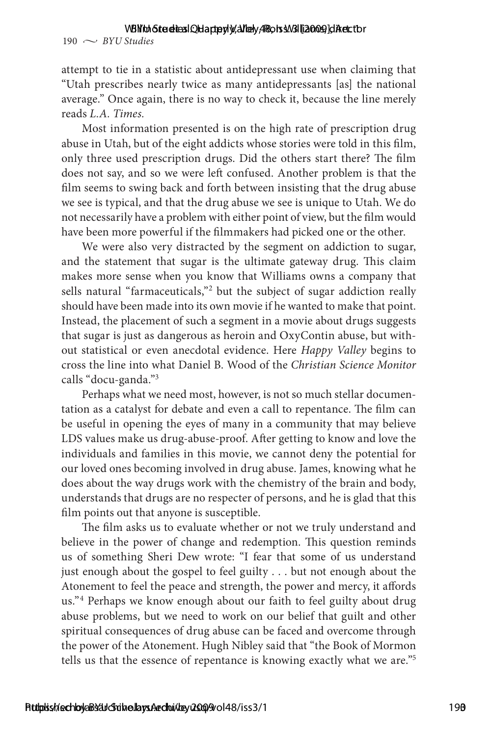## VBNtoh Sterelies I Q Hapterly, Alley, ABots 3.V3I [12009] di Aret. tor

 $190 \sim$  *BYU Studies* 

attempt to tie in a statistic about antidepressant use when claiming that "Utah prescribes nearly twice as many antidepressants [as] the national average." Once again, there is no way to check it, because the line merely reads *L.A. Times.*

Most information presented is on the high rate of prescription drug abuse in Utah, but of the eight addicts whose stories were told in this film, only three used prescription drugs. Did the others start there? The film does not say, and so we were left confused. Another problem is that the film seems to swing back and forth between insisting that the drug abuse we see is typical, and that the drug abuse we see is unique to Utah. We do not necessarily have a problem with either point of view, but the film would have been more powerful if the filmmakers had picked one or the other.

We were also very distracted by the segment on addiction to sugar, and the statement that sugar is the ultimate gateway drug. This claim makes more sense when you know that Williams owns a company that sells natural "farmaceuticals,"<sup>2</sup> but the subject of sugar addiction really should have been made into its own movie if he wanted to make that point. Instead, the placement of such a segment in a movie about drugs suggests that sugar is just as dangerous as heroin and OxyContin abuse, but without statistical or even anecdotal evidence. Here *Happy Valley* begins to cross the line into what Daniel B. Wood of the *Christian Science Monitor* calls "docu-ganda."3

Perhaps what we need most, however, is not so much stellar documentation as a catalyst for debate and even a call to repentance. The film can be useful in opening the eyes of many in a community that may believe LDS values make us drug-abuse-proof. After getting to know and love the individuals and families in this movie, we cannot deny the potential for our loved ones becoming involved in drug abuse. James, knowing what he does about the way drugs work with the chemistry of the brain and body, understands that drugs are no respecter of persons, and he is glad that this film points out that anyone is susceptible.

The film asks us to evaluate whether or not we truly understand and believe in the power of change and redemption. This question reminds us of something Sheri Dew wrote: "I fear that some of us understand just enough about the gospel to feel guilty . . . but not enough about the Atonement to feel the peace and strength, the power and mercy, it affords us."4 Perhaps we know enough about our faith to feel guilty about drug abuse problems, but we need to work on our belief that guilt and other spiritual consequences of drug abuse can be faced and overcome through the power of the Atonement. Hugh Nibley said that "the Book of Mormon tells us that the essence of repentance is knowing exactly what we are."5 190  $\sim$  80Y.98moid condensity (**A**Bubay**4R**o Happy Sixter and the stating that a strength to the in a statistic about antidepression is so when claiming that  $\sim$  40Y.98moid <sup>1</sup>. Then a statistic about a strength valley